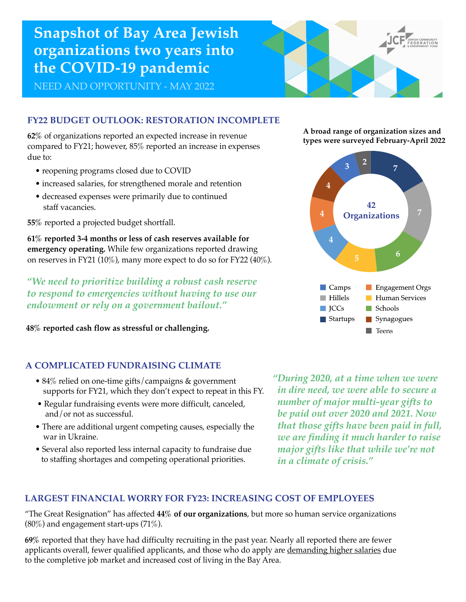# **Snapshot of Bay Area Jewish organizations two years into the COVID-19 pandemic**

NEED AND OPPORTUNITY - MAY 2022

## **FY22 BUDGET OUTLOOK: RESTORATION INCOMPLETE**

**62%** of organizations reported an expected increase in revenue compared to FY21; however, 85% reported an increase in expenses due to:

- reopening programs closed due to COVID
- increased salaries, for strengthened morale and retention
- decreased expenses were primarily due to continued staff vacancies.

**55%** reported a projected budget shortfall.

**61% reported 3-4 months or less of cash reserves available for emergency operating.** While few organizations reported drawing on reserves in FY21 (10%), many more expect to do so for FY22 (40%).

*"We need to prioritize building a robust cash reserve to respond to emergencies without having to use our endowment or rely on a government bailout."*

**48% reported cash flow as stressful or challenging.**

### **A COMPLICATED FUNDRAISING CLIMATE**

- 84% relied on one-time gifts/campaigns & government supports for FY21, which they don't expect to repeat in this FY.
- Regular fundraising events were more difficult, canceled, and/or not as successful.
- There are additional urgent competing causes, especially the war in Ukraine.
- Several also reported less internal capacity to fundraise due to staffing shortages and competing operational priorities.

*"During 2020, at a time when we were in dire need, we were able to secure a number of major multi-year gifts to be paid out over 2020 and 2021. Now that those gifts have been paid in full, we are finding it much harder to raise major gifts like that while we're not in a climate of crisis."*

#### **LARGEST FINANCIAL WORRY FOR FY23: INCREASING COST OF EMPLOYEES**

"The Great Resignation" has affected **44% of our organizations**, but more so human service organizations  $(80\%)$  and engagement start-ups  $(71\%).$ 

**69%** reported that they have had difficulty recruiting in the past year. Nearly all reported there are fewer applicants overall, fewer qualified applicants, and those who do apply are <u>demanding higher salaries</u> due to the completive job market and increased cost of living in the Bay Area.

**A broad range of organization sizes and types were surveyed February-April 2022**